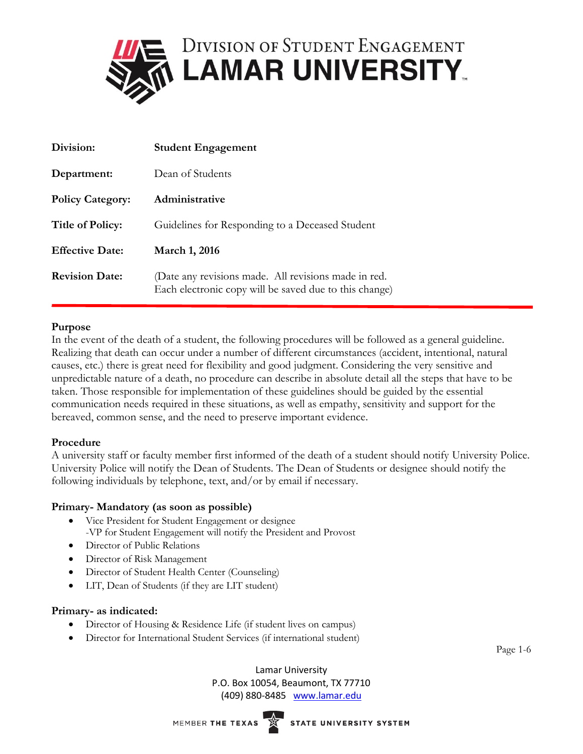

| Division:               | <b>Student Engagement</b>                                                                                      |
|-------------------------|----------------------------------------------------------------------------------------------------------------|
| Department:             | Dean of Students                                                                                               |
| <b>Policy Category:</b> | Administrative                                                                                                 |
| <b>Title of Policy:</b> | Guidelines for Responding to a Deceased Student                                                                |
| <b>Effective Date:</b>  | <b>March 1, 2016</b>                                                                                           |
| <b>Revision Date:</b>   | (Date any revisions made. All revisions made in red.<br>Each electronic copy will be saved due to this change) |

# **Purpose**

In the event of the death of a student, the following procedures will be followed as a general guideline. Realizing that death can occur under a number of different circumstances (accident, intentional, natural causes, etc.) there is great need for flexibility and good judgment. Considering the very sensitive and unpredictable nature of a death, no procedure can describe in absolute detail all the steps that have to be taken. Those responsible for implementation of these guidelines should be guided by the essential communication needs required in these situations, as well as empathy, sensitivity and support for the bereaved, common sense, and the need to preserve important evidence.

# **Procedure**

A university staff or faculty member first informed of the death of a student should notify University Police. University Police will notify the Dean of Students. The Dean of Students or designee should notify the following individuals by telephone, text, and/or by email if necessary.

# **Primary- Mandatory (as soon as possible)**

- Vice President for Student Engagement or designee -VP for Student Engagement will notify the President and Provost
- Director of Public Relations
- Director of Risk Management
- Director of Student Health Center (Counseling)
- LIT, Dean of Students (if they are LIT student)

### **Primary- as indicated:**

- Director of Housing & Residence Life (if student lives on campus)
- Director for International Student Services (if international student)

Page 1-6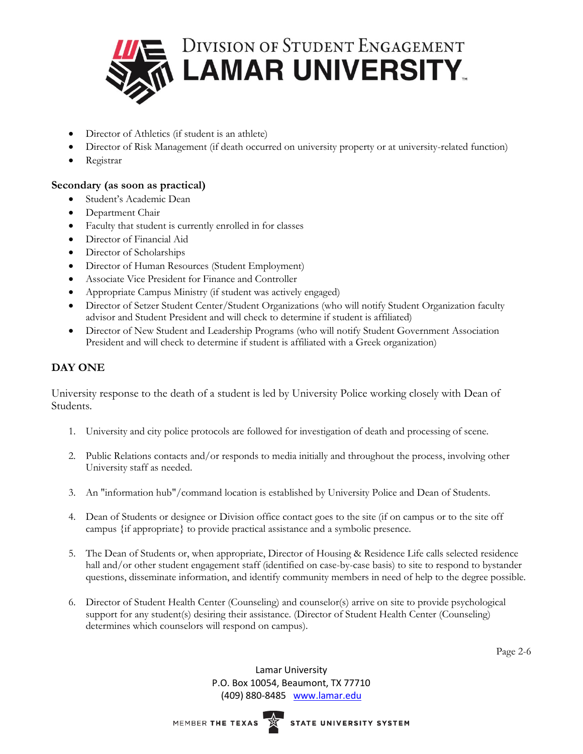

- Director of Athletics (if student is an athlete)
- Director of Risk Management (if death occurred on university property or at university-related function)
- Registrar

# **Secondary (as soon as practical)**

- Student's Academic Dean
- Department Chair
- Faculty that student is currently enrolled in for classes
- Director of Financial Aid
- Director of Scholarships
- Director of Human Resources (Student Employment)
- Associate Vice President for Finance and Controller
- Appropriate Campus Ministry (if student was actively engaged)
- Director of Setzer Student Center/Student Organizations (who will notify Student Organization faculty advisor and Student President and will check to determine if student is affiliated)
- Director of New Student and Leadership Programs (who will notify Student Government Association President and will check to determine if student is affiliated with a Greek organization)

# **DAY ONE**

University response to the death of a student is led by University Police working closely with Dean of Students.

- 1. University and city police protocols are followed for investigation of death and processing of scene.
- 2. Public Relations contacts and/or responds to media initially and throughout the process, involving other University staff as needed.
- 3. An "information hub"/command location is established by University Police and Dean of Students.
- 4. Dean of Students or designee or Division office contact goes to the site (if on campus or to the site off campus {if appropriate} to provide practical assistance and a symbolic presence.
- 5. The Dean of Students or, when appropriate, Director of Housing & Residence Life calls selected residence hall and/or other student engagement staff (identified on case-by-case basis) to site to respond to bystander questions, disseminate information, and identify community members in need of help to the degree possible.
- 6. Director of Student Health Center (Counseling) and counselor(s) arrive on site to provide psychological support for any student(s) desiring their assistance. (Director of Student Health Center (Counseling) determines which counselors will respond on campus).

Page 2-6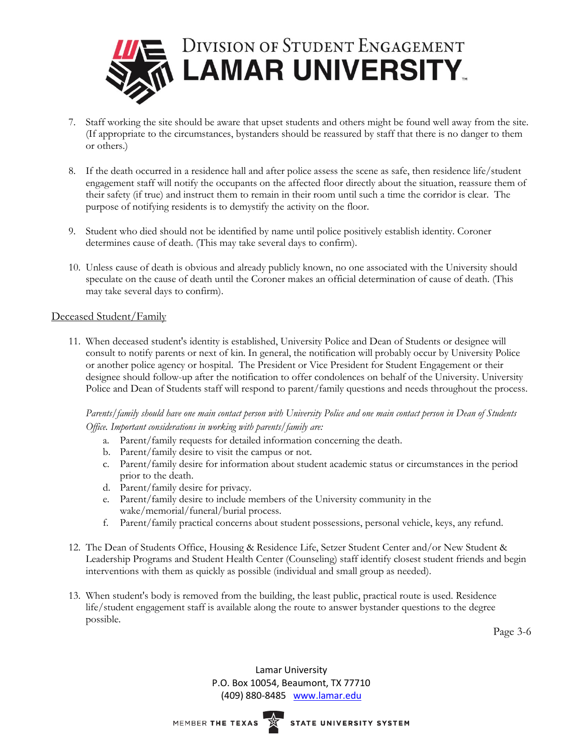

- 7. Staff working the site should be aware that upset students and others might be found well away from the site. (If appropriate to the circumstances, bystanders should be reassured by staff that there is no danger to them or others.)
- 8. If the death occurred in a residence hall and after police assess the scene as safe, then residence life/student engagement staff will notify the occupants on the affected floor directly about the situation, reassure them of their safety (if true) and instruct them to remain in their room until such a time the corridor is clear. The purpose of notifying residents is to demystify the activity on the floor.
- 9. Student who died should not be identified by name until police positively establish identity. Coroner determines cause of death. (This may take several days to confirm).
- 10. Unless cause of death is obvious and already publicly known, no one associated with the University should speculate on the cause of death until the Coroner makes an official determination of cause of death. (This may take several days to confirm).

### Deceased Student/Family

11. When deceased student's identity is established, University Police and Dean of Students or designee will consult to notify parents or next of kin. In general, the notification will probably occur by University Police or another police agency or hospital. The President or Vice President for Student Engagement or their designee should follow-up after the notification to offer condolences on behalf of the University. University Police and Dean of Students staff will respond to parent/family questions and needs throughout the process.

*Parents/family should have one main contact person with University Police and one main contact person in Dean of Students Office. Important considerations in working with parents/family are:*

- a. Parent/family requests for detailed information concerning the death.
- b. Parent/family desire to visit the campus or not.
- c. Parent/family desire for information about student academic status or circumstances in the period prior to the death.
- d. Parent/family desire for privacy.
- e. Parent/family desire to include members of the University community in the wake/memorial/funeral/burial process.
- f. Parent/family practical concerns about student possessions, personal vehicle, keys, any refund.
- 12. The Dean of Students Office, Housing & Residence Life, Setzer Student Center and/or New Student & Leadership Programs and Student Health Center (Counseling) staff identify closest student friends and begin interventions with them as quickly as possible (individual and small group as needed).
- 13. When student's body is removed from the building, the least public, practical route is used. Residence life/student engagement staff is available along the route to answer bystander questions to the degree possible.

Page 3-6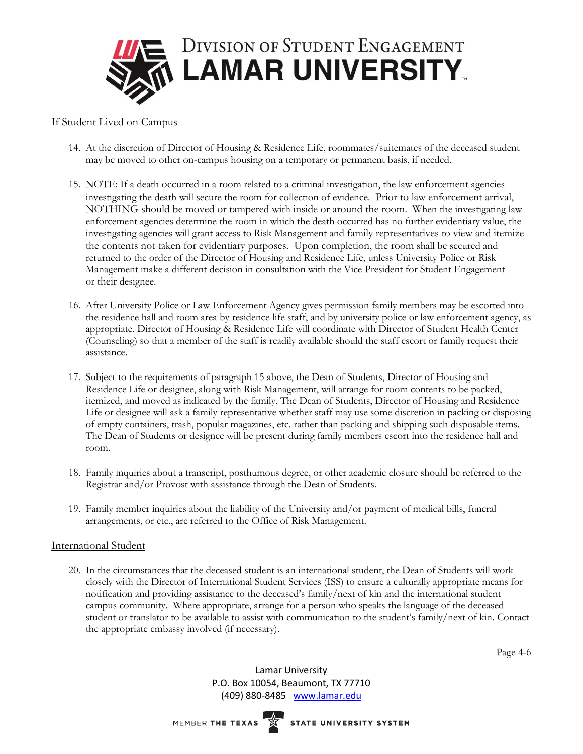

## If Student Lived on Campus

- 14. At the discretion of Director of Housing & Residence Life, roommates/suitemates of the deceased student may be moved to other on-campus housing on a temporary or permanent basis, if needed.
- 15. NOTE: If a death occurred in a room related to a criminal investigation, the law enforcement agencies investigating the death will secure the room for collection of evidence. Prior to law enforcement arrival, NOTHING should be moved or tampered with inside or around the room. When the investigating law enforcement agencies determine the room in which the death occurred has no further evidentiary value, the investigating agencies will grant access to Risk Management and family representatives to view and itemize the contents not taken for evidentiary purposes. Upon completion, the room shall be secured and returned to the order of the Director of Housing and Residence Life, unless University Police or Risk Management make a different decision in consultation with the Vice President for Student Engagement or their designee.
- 16. After University Police or Law Enforcement Agency gives permission family members may be escorted into the residence hall and room area by residence life staff, and by university police or law enforcement agency, as appropriate. Director of Housing & Residence Life will coordinate with Director of Student Health Center (Counseling) so that a member of the staff is readily available should the staff escort or family request their assistance.
- 17. Subject to the requirements of paragraph 15 above, the Dean of Students, Director of Housing and Residence Life or designee, along with Risk Management, will arrange for room contents to be packed, itemized, and moved as indicated by the family. The Dean of Students, Director of Housing and Residence Life or designee will ask a family representative whether staff may use some discretion in packing or disposing of empty containers, trash, popular magazines, etc. rather than packing and shipping such disposable items. The Dean of Students or designee will be present during family members escort into the residence hall and room.
- 18. Family inquiries about a transcript, posthumous degree, or other academic closure should be referred to the Registrar and/or Provost with assistance through the Dean of Students.
- 19. Family member inquiries about the liability of the University and/or payment of medical bills, funeral arrangements, or etc., are referred to the Office of Risk Management.

### International Student

20. In the circumstances that the deceased student is an international student, the Dean of Students will work closely with the Director of International Student Services (ISS) to ensure a culturally appropriate means for notification and providing assistance to the deceased's family/next of kin and the international student campus community. Where appropriate, arrange for a person who speaks the language of the deceased student or translator to be available to assist with communication to the student's family/next of kin. Contact the appropriate embassy involved (if necessary).

Page 4-6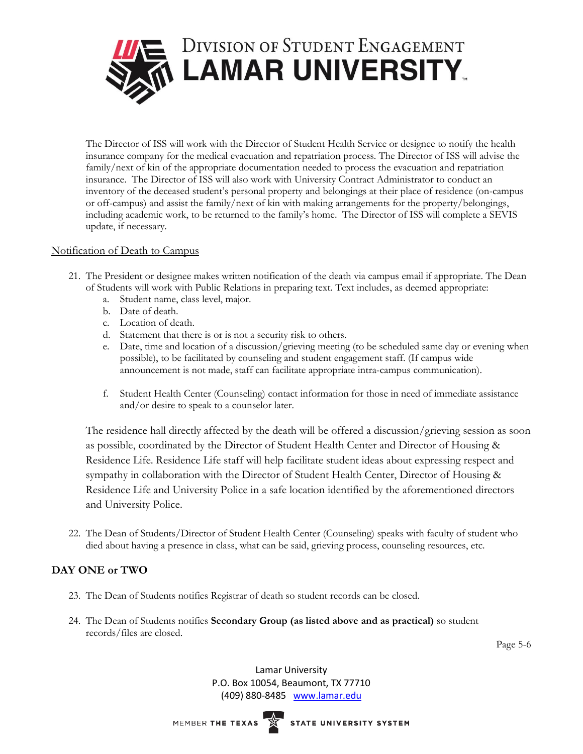

The Director of ISS will work with the Director of Student Health Service or designee to notify the health insurance company for the medical evacuation and repatriation process. The Director of ISS will advise the family/next of kin of the appropriate documentation needed to process the evacuation and repatriation insurance. The Director of ISS will also work with University Contract Administrator to conduct an inventory of the deceased student's personal property and belongings at their place of residence (on-campus or off-campus) and assist the family/next of kin with making arrangements for the property/belongings, including academic work, to be returned to the family's home. The Director of ISS will complete a SEVIS update, if necessary.

## Notification of Death to Campus

- 21. The President or designee makes written notification of the death via campus email if appropriate. The Dean of Students will work with Public Relations in preparing text. Text includes, as deemed appropriate:
	- a. Student name, class level, major.
	- b. Date of death.
	- c. Location of death.
	- d. Statement that there is or is not a security risk to others.
	- e. Date, time and location of a discussion/grieving meeting (to be scheduled same day or evening when possible), to be facilitated by counseling and student engagement staff. (If campus wide announcement is not made, staff can facilitate appropriate intra-campus communication).
	- f. Student Health Center (Counseling) contact information for those in need of immediate assistance and/or desire to speak to a counselor later.

The residence hall directly affected by the death will be offered a discussion/grieving session as soon as possible, coordinated by the Director of Student Health Center and Director of Housing & Residence Life. Residence Life staff will help facilitate student ideas about expressing respect and sympathy in collaboration with the Director of Student Health Center, Director of Housing & Residence Life and University Police in a safe location identified by the aforementioned directors and University Police.

22. The Dean of Students/Director of Student Health Center (Counseling) speaks with faculty of student who died about having a presence in class, what can be said, grieving process, counseling resources, etc.

# **DAY ONE or TWO**

- 23. The Dean of Students notifies Registrar of death so student records can be closed.
- 24. The Dean of Students notifies **Secondary Group (as listed above and as practical)** so student records/files are closed.

Page 5-6